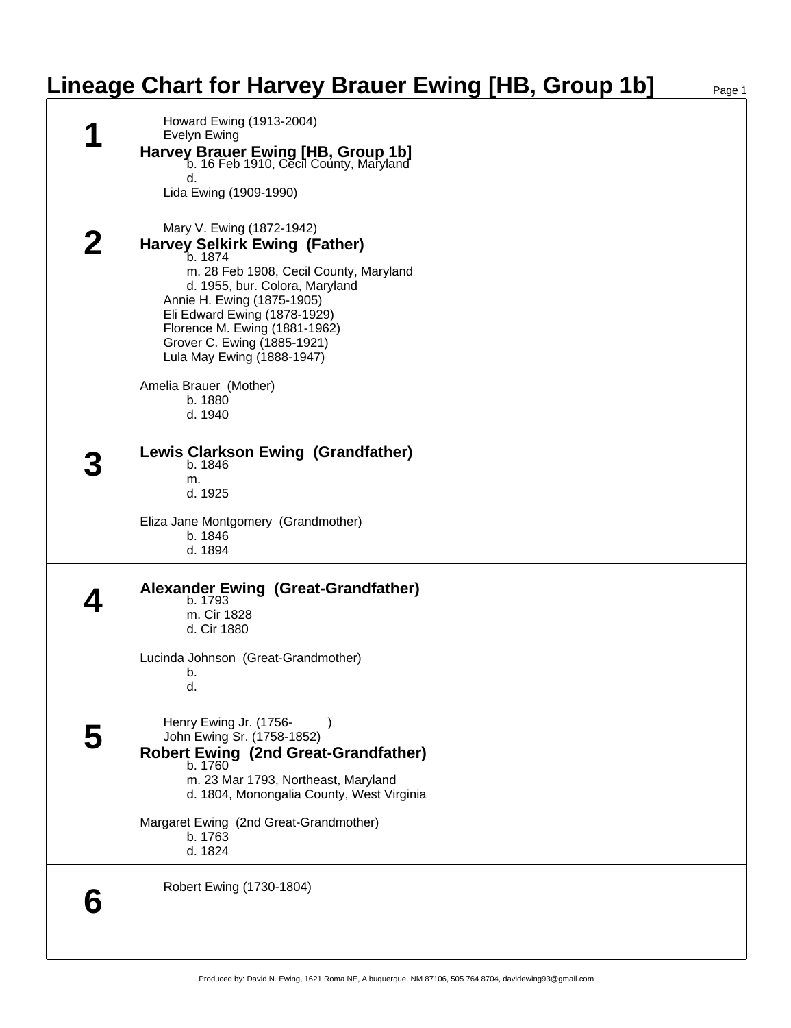## **Lineage Chart for Harvey Brauer Ewing [HB, Group 1b]**

| न | Howard Ewing (1913-2004)<br><b>Evelyn Ewing</b><br>Harvey Brauer Ewing [HB, Group 1b]<br>b. 16 Feb 1910, Cecil County, Maryland<br>d.                                                                                                                                                                                                          |
|---|------------------------------------------------------------------------------------------------------------------------------------------------------------------------------------------------------------------------------------------------------------------------------------------------------------------------------------------------|
|   | Lida Ewing (1909-1990)                                                                                                                                                                                                                                                                                                                         |
|   | Mary V. Ewing (1872-1942)<br><b>Harvey Selkirk Ewing (Father)</b><br>b. 1874<br>m. 28 Feb 1908, Cecil County, Maryland<br>d. 1955, bur. Colora, Maryland<br>Annie H. Ewing (1875-1905)<br>Eli Edward Ewing (1878-1929)<br>Florence M. Ewing (1881-1962)<br>Grover C. Ewing (1885-1921)<br>Lula May Ewing (1888-1947)<br>Amelia Brauer (Mother) |
|   | b. 1880                                                                                                                                                                                                                                                                                                                                        |
|   | d. 1940                                                                                                                                                                                                                                                                                                                                        |
|   | <b>Lewis Clarkson Ewing (Grandfather)</b><br>b. 1846<br>m.<br>d. 1925<br>Eliza Jane Montgomery (Grandmother)<br>b. 1846<br>d. 1894                                                                                                                                                                                                             |
|   | Alexander Ewing (Great-Grandfather)<br>b. 1793<br>m. Cir 1828<br>d. Cir 1880<br>Lucinda Johnson (Great-Grandmother)<br>b.                                                                                                                                                                                                                      |
|   | d.                                                                                                                                                                                                                                                                                                                                             |
| 5 | Henry Ewing Jr. (1756-<br>John Ewing Sr. (1758-1852)<br>Robert Ewing (2nd Great-Grandfather)<br>b. 1760<br>m. 23 Mar 1793, Northeast, Maryland<br>d. 1804, Monongalia County, West Virginia                                                                                                                                                    |
|   | Margaret Ewing (2nd Great-Grandmother)<br>b. 1763<br>d. 1824                                                                                                                                                                                                                                                                                   |
|   | Robert Ewing (1730-1804)                                                                                                                                                                                                                                                                                                                       |